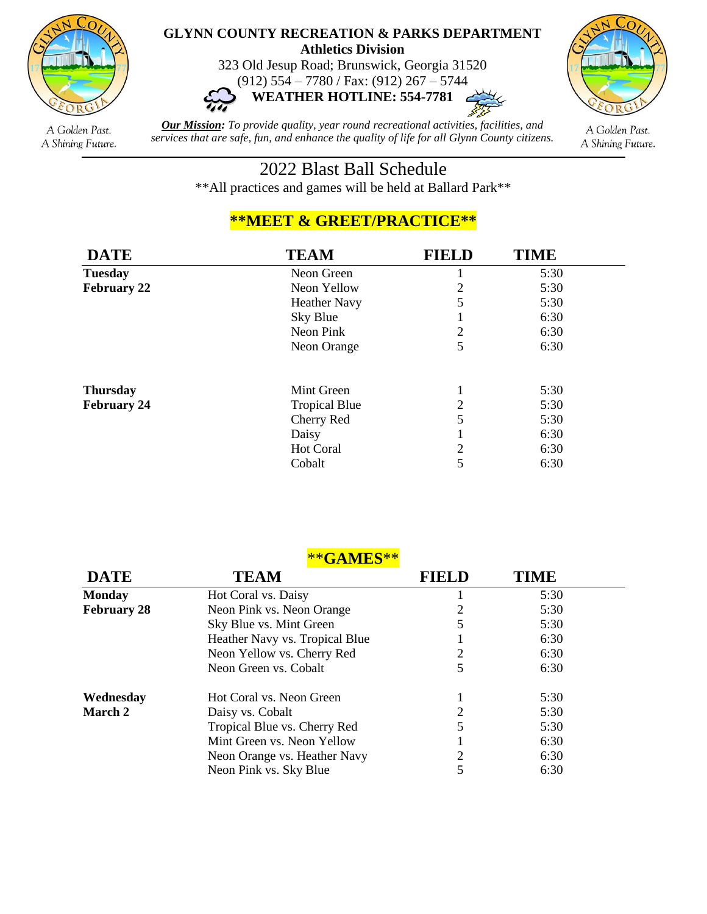

## **GLYNN COUNTY RECREATION & PARKS DEPARTMENT Athletics Division**

323 Old Jesup Road; Brunswick, Georgia 31520





A Golden Past. A Shining Future.

*Our Mission: To provide quality, year round recreational activities, facilities, and services that are safe, fun, and enhance the quality of life for all Glynn County citizens.*

A Golden Past. A Shining Future.

## 2022 Blast Ball Schedule

\*\*All practices and games will be held at Ballard Park\*\*

## **\*\*MEET & GREET/PRACTICE\*\***

| <b>DATE</b>        | <b>TEAM</b>          | <b>FIELD</b>   | <b>TIME</b> |  |
|--------------------|----------------------|----------------|-------------|--|
| <b>Tuesday</b>     | Neon Green           |                | 5:30        |  |
| <b>February 22</b> | Neon Yellow          | 2              | 5:30        |  |
|                    | <b>Heather Navy</b>  | 5              | 5:30        |  |
|                    | Sky Blue             | ı              | 6:30        |  |
|                    | Neon Pink            | $\overline{2}$ | 6:30        |  |
|                    | Neon Orange          | 5              | 6:30        |  |
| <b>Thursday</b>    | Mint Green           | 1              | 5:30        |  |
| <b>February 24</b> | <b>Tropical Blue</b> | 2              | 5:30        |  |
|                    | Cherry Red           | 5              | 5:30        |  |
|                    | Daisy                |                | 6:30        |  |
|                    | Hot Coral            | $\overline{2}$ | 6:30        |  |
|                    | Cobalt               | 5              | 6:30        |  |

\*\***GAMES**\*\*

| <b>DATE</b>        | TEAM                           | <b>FIELD</b> | TIME |
|--------------------|--------------------------------|--------------|------|
| <b>Monday</b>      | Hot Coral vs. Daisy            |              | 5:30 |
| <b>February 28</b> | Neon Pink vs. Neon Orange      |              | 5:30 |
|                    | Sky Blue vs. Mint Green        | 5            | 5:30 |
|                    | Heather Navy vs. Tropical Blue |              | 6:30 |
|                    | Neon Yellow vs. Cherry Red     | 2            | 6:30 |
|                    | Neon Green vs. Cobalt          | 5            | 6:30 |
| Wednesday          | Hot Coral vs. Neon Green       |              | 5:30 |
| March 2            | Daisy vs. Cobalt               | 2            | 5:30 |
|                    | Tropical Blue vs. Cherry Red   | 5            | 5:30 |
|                    | Mint Green vs. Neon Yellow     |              | 6:30 |
|                    | Neon Orange vs. Heather Navy   | 2            | 6:30 |
|                    | Neon Pink vs. Sky Blue         |              | 6:30 |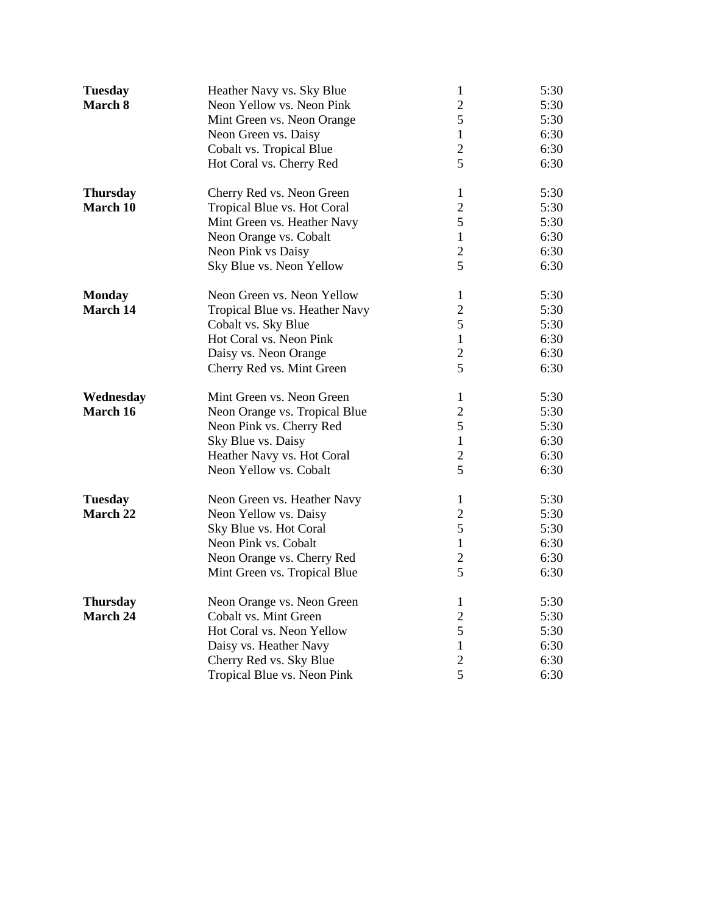| <b>Tuesday</b>  | Heather Navy vs. Sky Blue      | $\mathbf{1}$   | 5:30 |
|-----------------|--------------------------------|----------------|------|
| March 8         | Neon Yellow vs. Neon Pink      | $\overline{2}$ | 5:30 |
|                 | Mint Green vs. Neon Orange     | 5              | 5:30 |
|                 | Neon Green vs. Daisy           | $\mathbf{1}$   | 6:30 |
|                 | Cobalt vs. Tropical Blue       | $\overline{2}$ | 6:30 |
|                 | Hot Coral vs. Cherry Red       | 5              | 6:30 |
| <b>Thursday</b> | Cherry Red vs. Neon Green      | $\mathbf{1}$   | 5:30 |
| March 10        | Tropical Blue vs. Hot Coral    | $\overline{2}$ | 5:30 |
|                 | Mint Green vs. Heather Navy    | 5              | 5:30 |
|                 | Neon Orange vs. Cobalt         | $\mathbf{1}$   | 6:30 |
|                 | Neon Pink vs Daisy             | $\overline{2}$ | 6:30 |
|                 | Sky Blue vs. Neon Yellow       | 5              | 6:30 |
| <b>Monday</b>   | Neon Green vs. Neon Yellow     | $\mathbf{1}$   | 5:30 |
| March 14        | Tropical Blue vs. Heather Navy | $\overline{c}$ | 5:30 |
|                 | Cobalt vs. Sky Blue            | 5              | 5:30 |
|                 | Hot Coral vs. Neon Pink        | $\mathbf{1}$   | 6:30 |
|                 | Daisy vs. Neon Orange          | $\overline{2}$ | 6:30 |
|                 | Cherry Red vs. Mint Green      | 5              | 6:30 |
| Wednesday       | Mint Green vs. Neon Green      | $\mathbf{1}$   | 5:30 |
| March 16        | Neon Orange vs. Tropical Blue  | $\overline{2}$ | 5:30 |
|                 | Neon Pink vs. Cherry Red       | 5              | 5:30 |
|                 | Sky Blue vs. Daisy             | $\mathbf{1}$   | 6:30 |
|                 | Heather Navy vs. Hot Coral     | $\overline{2}$ | 6:30 |
|                 | Neon Yellow vs. Cobalt         | 5              | 6:30 |
| <b>Tuesday</b>  | Neon Green vs. Heather Navy    | $\mathbf{1}$   | 5:30 |
| March 22        | Neon Yellow vs. Daisy          | $\overline{2}$ | 5:30 |
|                 | Sky Blue vs. Hot Coral         | 5              | 5:30 |
|                 | Neon Pink vs. Cobalt           | $\mathbf{1}$   | 6:30 |
|                 | Neon Orange vs. Cherry Red     | $\overline{2}$ | 6:30 |
|                 | Mint Green vs. Tropical Blue   | 5              | 6:30 |
| <b>Thursday</b> | Neon Orange vs. Neon Green     | $\mathbf{1}$   | 5:30 |
| March 24        | Cobalt vs. Mint Green          | $\overline{2}$ | 5:30 |
|                 | Hot Coral vs. Neon Yellow      | 5              | 5:30 |
|                 | Daisy vs. Heather Navy         | $\mathbf{1}$   | 6:30 |
|                 | Cherry Red vs. Sky Blue        | $\overline{2}$ | 6:30 |
|                 | Tropical Blue vs. Neon Pink    | 5              | 6:30 |